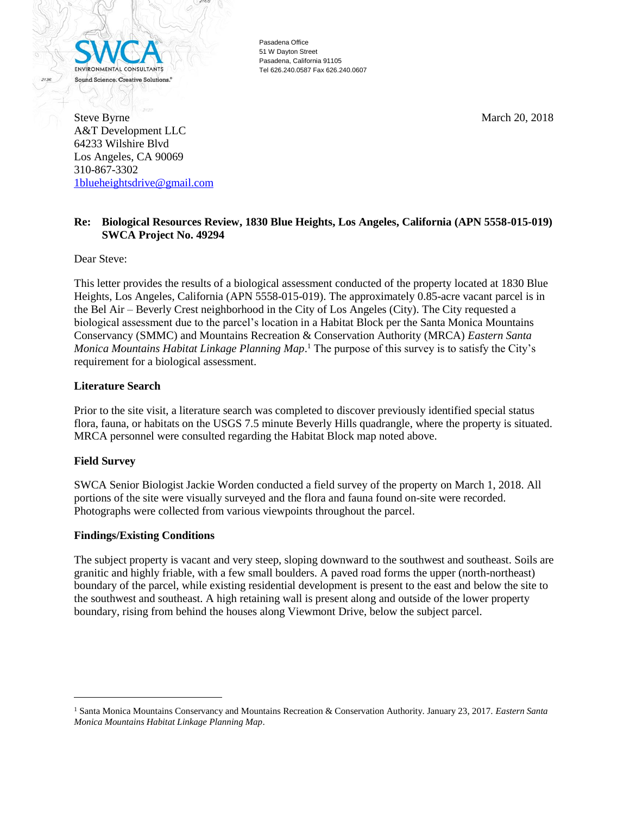

Pasadena Office 51 W Dayton Street Pasadena, California 91105 Tel 626.240.0587 Fax 626.240.0607

Steve Byrne March 20, 2018 A&T Development LLC 64233 Wilshire Blvd Los Angeles, CA 90069 310-867-3302 [1blueheightsdrive@gmail.com](mailto:1blueheightsdrive@gmail.com)

# **Re: Biological Resources Review, 1830 Blue Heights, Los Angeles, California (APN 5558-015-019) SWCA Project No. 49294**

Dear Steve:

This letter provides the results of a biological assessment conducted of the property located at 1830 Blue Heights, Los Angeles, California (APN 5558-015-019). The approximately 0.85-acre vacant parcel is in the Bel Air – Beverly Crest neighborhood in the City of Los Angeles (City). The City requested a biological assessment due to the parcel's location in a Habitat Block per the Santa Monica Mountains Conservancy (SMMC) and Mountains Recreation & Conservation Authority (MRCA) *Eastern Santa Monica Mountains Habitat Linkage Planning Map*. <sup>1</sup> The purpose of this survey is to satisfy the City's requirement for a biological assessment.

## **Literature Search**

Prior to the site visit, a literature search was completed to discover previously identified special status flora, fauna, or habitats on the USGS 7.5 minute Beverly Hills quadrangle, where the property is situated. MRCA personnel were consulted regarding the Habitat Block map noted above.

## **Field Survey**

 $\overline{a}$ 

SWCA Senior Biologist Jackie Worden conducted a field survey of the property on March 1, 2018. All portions of the site were visually surveyed and the flora and fauna found on-site were recorded. Photographs were collected from various viewpoints throughout the parcel.

## **Findings/Existing Conditions**

The subject property is vacant and very steep, sloping downward to the southwest and southeast. Soils are granitic and highly friable, with a few small boulders. A paved road forms the upper (north-northeast) boundary of the parcel, while existing residential development is present to the east and below the site to the southwest and southeast. A high retaining wall is present along and outside of the lower property boundary, rising from behind the houses along Viewmont Drive, below the subject parcel.

<sup>1</sup> Santa Monica Mountains Conservancy and Mountains Recreation & Conservation Authority. January 23, 2017. *Eastern Santa Monica Mountains Habitat Linkage Planning Map*.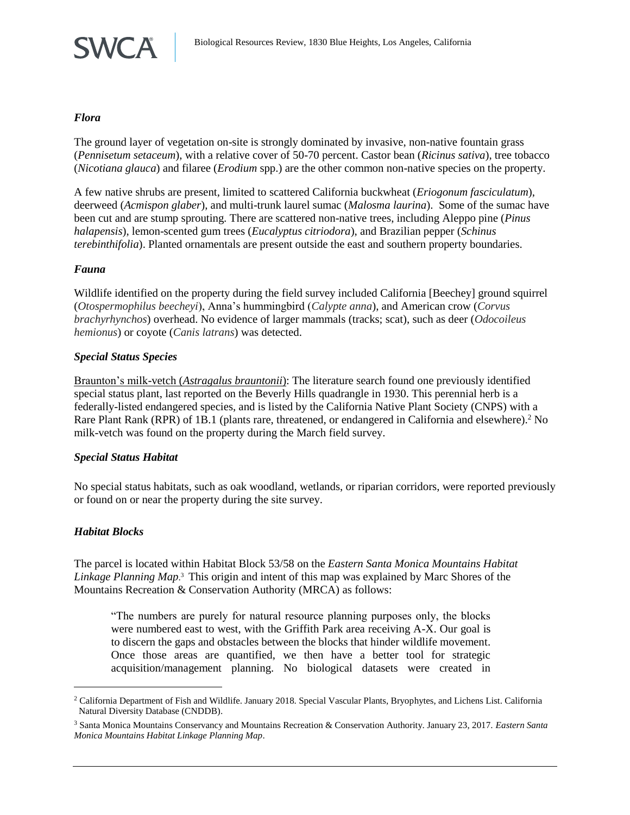

#### *Flora*

The ground layer of vegetation on-site is strongly dominated by invasive, non-native fountain grass (*Pennisetum setaceum*), with a relative cover of 50-70 percent. Castor bean (*Ricinus sativa*), tree tobacco (*Nicotiana glauca*) and filaree (*Erodium* spp.) are the other common non-native species on the property.

A few native shrubs are present, limited to scattered California buckwheat (*Eriogonum fasciculatum*), deerweed (*Acmispon glaber*), and multi-trunk laurel sumac (*Malosma laurina*). Some of the sumac have been cut and are stump sprouting. There are scattered non-native trees, including Aleppo pine (*Pinus halapensis*), lemon-scented gum trees (*Eucalyptus citriodora*), and Brazilian pepper (*Schinus terebinthifolia*). Planted ornamentals are present outside the east and southern property boundaries.

## *Fauna*

Wildlife identified on the property during the field survey included California [Beechey] ground squirrel (*Otospermophilus beecheyi*), Anna's hummingbird (*Calypte anna*), and American crow (*Corvus brachyrhynchos*) overhead. No evidence of larger mammals (tracks; scat), such as deer (*Odocoileus hemionus*) or coyote (*Canis latrans*) was detected.

#### *Special Status Species*

Braunton's milk-vetch (*Astragalus brauntonii*): The literature search found one previously identified special status plant, last reported on the Beverly Hills quadrangle in 1930. This perennial herb is a federally-listed endangered species, and is listed by the California Native Plant Society (CNPS) with a Rare Plant Rank (RPR) of 1B.1 (plants rare, threatened, or endangered in California and elsewhere).<sup>2</sup> No milk-vetch was found on the property during the March field survey.

## *Special Status Habitat*

No special status habitats, such as oak woodland, wetlands, or riparian corridors, were reported previously or found on or near the property during the site survey.

## *Habitat Blocks*

l

The parcel is located within Habitat Block 53/58 on the *Eastern Santa Monica Mountains Habitat Linkage Planning Map*. <sup>3</sup> This origin and intent of this map was explained by Marc Shores of the Mountains Recreation & Conservation Authority (MRCA) as follows:

"The numbers are purely for natural resource planning purposes only, the blocks were numbered east to west, with the Griffith Park area receiving A-X. Our goal is to discern the gaps and obstacles between the blocks that hinder wildlife movement. Once those areas are quantified, we then have a better tool for strategic acquisition/management planning. No biological datasets were created in

<sup>2</sup> California Department of Fish and Wildlife. January 2018. Special Vascular Plants, Bryophytes, and Lichens List. California Natural Diversity Database (CNDDB).

<sup>3</sup> Santa Monica Mountains Conservancy and Mountains Recreation & Conservation Authority. January 23, 2017. *Eastern Santa Monica Mountains Habitat Linkage Planning Map*.